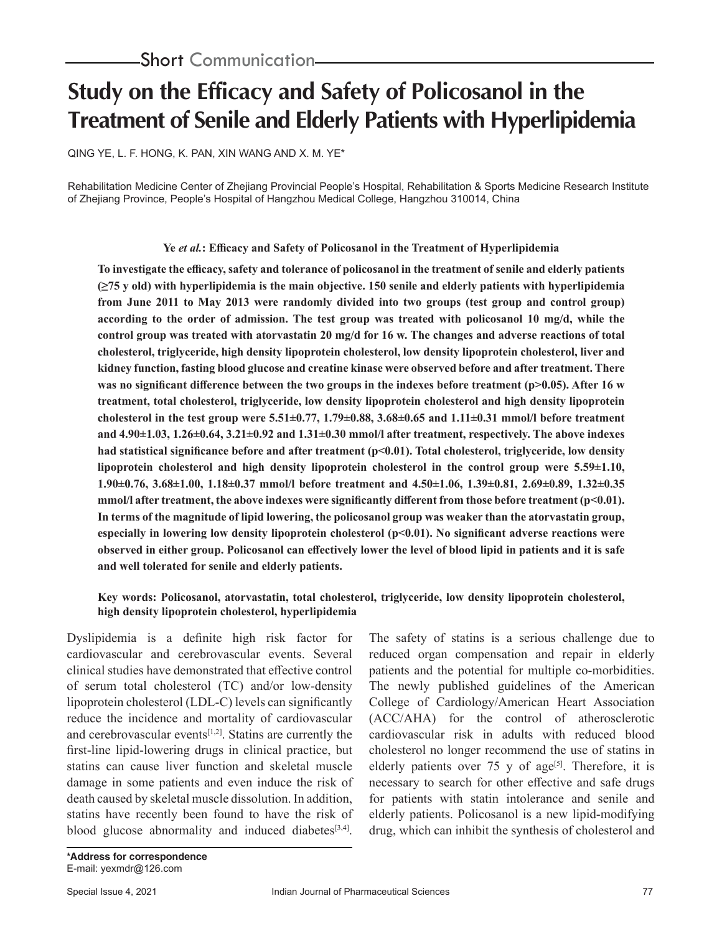# **Study on the Efficacy and Safety of Policosanol in the Treatment of Senile and Elderly Patients with Hyperlipidemia**

QING YE, L. F. HONG, K. PAN, XIN WANG AND X. M. YE\*

Rehabilitation Medicine Center of Zhejiang Provincial People's Hospital, Rehabilitation & Sports Medicine Research Institute of Zhejiang Province, People's Hospital of Hangzhou Medical College, Hangzhou 310014, China

## **Ye** *et al.***: Efficacy and Safety of Policosanol in the Treatment of Hyperlipidemia**

**To investigate the efficacy, safety and tolerance of policosanol in the treatment of senile and elderly patients (≥75 y old) with hyperlipidemia is the main objective. 150 senile and elderly patients with hyperlipidemia from June 2011 to May 2013 were randomly divided into two groups (test group and control group) according to the order of admission. The test group was treated with policosanol 10 mg/d, while the control group was treated with atorvastatin 20 mg/d for 16 w. The changes and adverse reactions of total cholesterol, triglyceride, high density lipoprotein cholesterol, low density lipoprotein cholesterol, liver and kidney function, fasting blood glucose and creatine kinase were observed before and after treatment. There**  was no significant difference between the two groups in the indexes before treatment (p>0.05). After 16 w **treatment, total cholesterol, triglyceride, low density lipoprotein cholesterol and high density lipoprotein cholesterol in the test group were 5.51±0.77, 1.79±0.88, 3.68±0.65 and 1.11±0.31 mmol/l before treatment and 4.90±1.03, 1.26±0.64, 3.21±0.92 and 1.31±0.30 mmol/l after treatment, respectively. The above indexes had statistical significance before and after treatment (p<0.01). Total cholesterol, triglyceride, low density lipoprotein cholesterol and high density lipoprotein cholesterol in the control group were 5.59±1.10, 1.90±0.76, 3.68±1.00, 1.18±0.37 mmol/l before treatment and 4.50±1.06, 1.39±0.81, 2.69±0.89, 1.32±0.35**  mmol/l after treatment, the above indexes were significantly different from those before treatment (p<0.01). **In terms of the magnitude of lipid lowering, the policosanol group was weaker than the atorvastatin group, especially in lowering low density lipoprotein cholesterol (p<0.01). No significant adverse reactions were observed in either group. Policosanol can effectively lower the level of blood lipid in patients and it is safe and well tolerated for senile and elderly patients.**

## **Key words: Policosanol, atorvastatin, total cholesterol, triglyceride, low density lipoprotein cholesterol, high density lipoprotein cholesterol, hyperlipidemia**

Dyslipidemia is a definite high risk factor for cardiovascular and cerebrovascular events. Several clinical studies have demonstrated that effective control of serum total cholesterol (TC) and/or low-density lipoprotein cholesterol (LDL-C) levels can significantly reduce the incidence and mortality of cardiovascular and cerebrovascular events $[1,2]$ . Statins are currently the first-line lipid-lowering drugs in clinical practice, but statins can cause liver function and skeletal muscle damage in some patients and even induce the risk of death caused by skeletal muscle dissolution. In addition, statins have recently been found to have the risk of blood glucose abnormality and induced diabetes $[3,4]$ .

The safety of statins is a serious challenge due to reduced organ compensation and repair in elderly patients and the potential for multiple co-morbidities. The newly published guidelines of the American College of Cardiology/American Heart Association (ACC/AHA) for the control of atherosclerotic cardiovascular risk in adults with reduced blood cholesterol no longer recommend the use of statins in elderly patients over 75 y of age<sup>[5]</sup>. Therefore, it is necessary to search for other effective and safe drugs for patients with statin intolerance and senile and elderly patients. Policosanol is a new lipid-modifying drug, which can inhibit the synthesis of cholesterol and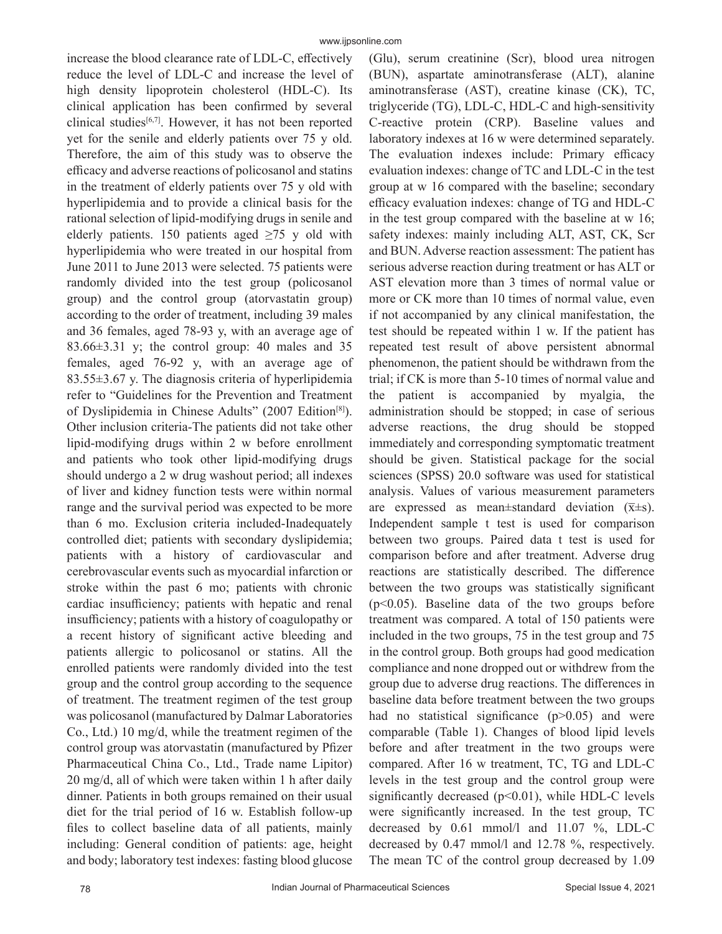increase the blood clearance rate of LDL-C, effectively reduce the level of LDL-C and increase the level of high density lipoprotein cholesterol (HDL-C). Its clinical application has been confirmed by several clinical studies[6,7]. However, it has not been reported yet for the senile and elderly patients over 75 y old. Therefore, the aim of this study was to observe the efficacy and adverse reactions of policosanol and statins in the treatment of elderly patients over 75 y old with hyperlipidemia and to provide a clinical basis for the rational selection of lipid-modifying drugs in senile and elderly patients. 150 patients aged  $\geq$ 75 y old with hyperlipidemia who were treated in our hospital from June 2011 to June 2013 were selected. 75 patients were randomly divided into the test group (policosanol group) and the control group (atorvastatin group) according to the order of treatment, including 39 males and 36 females, aged 78-93 y, with an average age of 83.66 $\pm$ 3.31 y; the control group: 40 males and 35 females, aged 76-92 y, with an average age of 83.55±3.67 y. The diagnosis criteria of hyperlipidemia refer to "Guidelines for the Prevention and Treatment of Dyslipidemia in Chinese Adults" (2007 Edition[8]). Other inclusion criteria-The patients did not take other lipid-modifying drugs within 2 w before enrollment and patients who took other lipid-modifying drugs should undergo a 2 w drug washout period; all indexes of liver and kidney function tests were within normal range and the survival period was expected to be more than 6 mo. Exclusion criteria included-Inadequately controlled diet; patients with secondary dyslipidemia; patients with a history of cardiovascular and cerebrovascular events such as myocardial infarction or stroke within the past 6 mo; patients with chronic cardiac insufficiency; patients with hepatic and renal insufficiency; patients with a history of coagulopathy or a recent history of significant active bleeding and patients allergic to policosanol or statins. All the enrolled patients were randomly divided into the test group and the control group according to the sequence of treatment. The treatment regimen of the test group was policosanol (manufactured by Dalmar Laboratories Co., Ltd.) 10 mg/d, while the treatment regimen of the control group was atorvastatin (manufactured by Pfizer Pharmaceutical China Co., Ltd., Trade name Lipitor) 20 mg/d, all of which were taken within 1 h after daily dinner. Patients in both groups remained on their usual diet for the trial period of 16 w. Establish follow-up files to collect baseline data of all patients, mainly including: General condition of patients: age, height and body; laboratory test indexes: fasting blood glucose

(Glu), serum creatinine (Scr), blood urea nitrogen (BUN), aspartate aminotransferase (ALT), alanine aminotransferase (AST), creatine kinase (CK), TC, triglyceride (TG), LDL-C, HDL-C and high-sensitivity C-reactive protein (CRP). Baseline values and laboratory indexes at 16 w were determined separately. The evaluation indexes include: Primary efficacy evaluation indexes: change of TC and LDL-C in the test group at w 16 compared with the baseline; secondary efficacy evaluation indexes: change of TG and HDL-C in the test group compared with the baseline at w 16; safety indexes: mainly including ALT, AST, CK, Scr and BUN. Adverse reaction assessment: The patient has serious adverse reaction during treatment or has ALT or AST elevation more than 3 times of normal value or more or CK more than 10 times of normal value, even if not accompanied by any clinical manifestation, the test should be repeated within 1 w. If the patient has repeated test result of above persistent abnormal phenomenon, the patient should be withdrawn from the trial; if CK is more than 5-10 times of normal value and the patient is accompanied by myalgia, the administration should be stopped; in case of serious adverse reactions, the drug should be stopped immediately and corresponding symptomatic treatment should be given. Statistical package for the social sciences (SPSS) 20.0 software was used for statistical analysis. Values of various measurement parameters are expressed as mean $\pm$ standard deviation ( $\bar{x} \pm s$ ). Independent sample t test is used for comparison between two groups. Paired data t test is used for comparison before and after treatment. Adverse drug reactions are statistically described. The difference between the two groups was statistically significant (p<0.05). Baseline data of the two groups before treatment was compared. A total of 150 patients were included in the two groups, 75 in the test group and 75 in the control group. Both groups had good medication compliance and none dropped out or withdrew from the group due to adverse drug reactions. The differences in baseline data before treatment between the two groups had no statistical significance  $(p>0.05)$  and were comparable (Table 1). Changes of blood lipid levels before and after treatment in the two groups were compared. After 16 w treatment, TC, TG and LDL-C levels in the test group and the control group were significantly decreased  $(p<0.01)$ , while HDL-C levels were significantly increased. In the test group, TC decreased by 0.61 mmol/l and 11.07 %, LDL-C decreased by 0.47 mmol/l and 12.78 %, respectively. The mean TC of the control group decreased by 1.09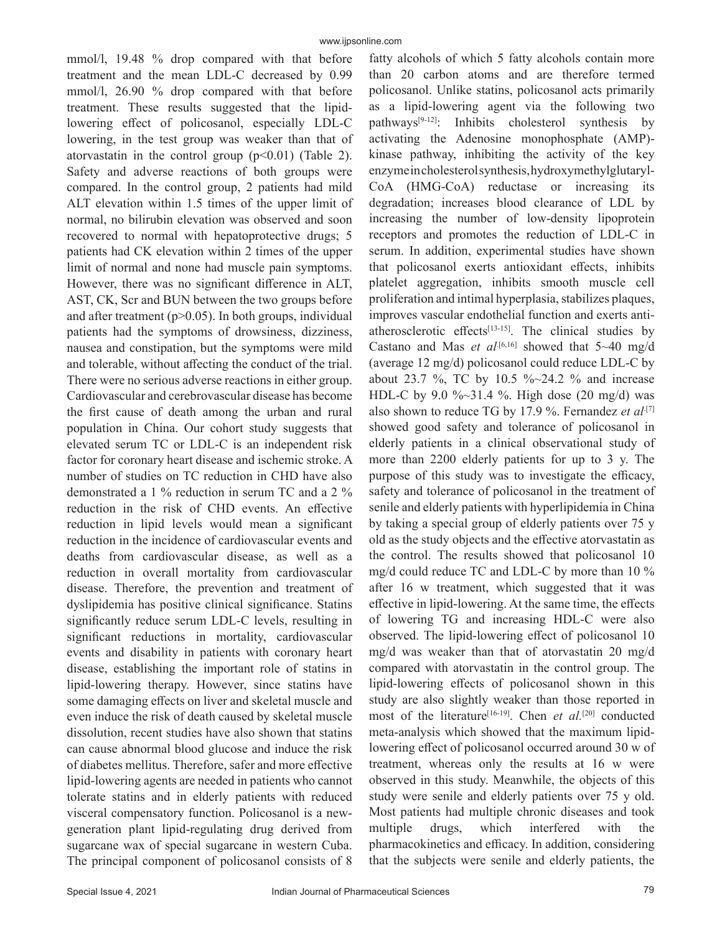mmol/l, 19.48 % drop compared with that before treatment and the mean LDL-C decreased by 0.99 mmol/l, 26.90 % drop compared with that before treatment. These results suggested that the lipidlowering effect of policosanol, especially LDL-C lowering, in the test group was weaker than that of atorvastatin in the control group  $(p<0.01)$  (Table 2). Safety and adverse reactions of both groups were compared. In the control group, 2 patients had mild ALT elevation within 1.5 times of the upper limit of normal, no bilirubin elevation was observed and soon recovered to normal with hepatoprotective drugs; 5 patients had CK elevation within 2 times of the upper limit of normal and none had muscle pain symptoms. However, there was no significant difference in ALT, AST, CK, Scr and BUN between the two groups before and after treatment ( $p$  $>$ 0.05). In both groups, individual patients had the symptoms of drowsiness, dizziness, nausea and constipation, but the symptoms were mild and tolerable, without affecting the conduct of the trial. There were no serious adverse reactions in either group. Cardiovascular and cerebrovascular disease has become the first cause of death among the urban and rural population in China. Our cohort study suggests that elevated serum TC or LDL-C is an independent risk factor for coronary heart disease and ischemic stroke. A number of studies on TC reduction in CHD have also demonstrated a 1 % reduction in serum TC and a 2 % reduction in the risk of CHD events. An effective reduction in lipid levels would mean a significant reduction in the incidence of cardiovascular events and deaths from cardiovascular disease, as well as a reduction in overall mortality from cardiovascular disease. Therefore, the prevention and treatment of dyslipidemia has positive clinical significance. Statins significantly reduce serum LDL-C levels, resulting in significant reductions in mortality, cardiovascular events and disability in patients with coronary heart disease, establishing the important role of statins in lipid-lowering therapy. However, since statins have some damaging effects on liver and skeletal muscle and even induce the risk of death caused by skeletal muscle dissolution, recent studies have also shown that statins can cause abnormal blood glucose and induce the risk of diabetes mellitus. Therefore, safer and more effective lipid-lowering agents are needed in patients who cannot tolerate statins and in elderly patients with reduced visceral compensatory function. Policosanol is a newgeneration plant lipid-regulating drug derived from sugarcane wax of special sugarcane in western Cuba. The principal component of policosanol consists of 8 fatty alcohols of which 5 fatty alcohols contain more than 20 carbon atoms and are therefore termed policosanol. Unlike statins, policosanol acts primarily as a lipid-lowering agent via the following two pathways[9-12]: Inhibits cholesterol synthesis by activating the Adenosine monophosphate (AMP) kinase pathway, inhibiting the activity of the key enzyme in cholesterol synthesis, hydroxymethylglutaryl-CoA (HMG-CoA) reductase or increasing its degradation; increases blood clearance of LDL by increasing the number of low-density lipoprotein receptors and promotes the reduction of LDL-C in serum. In addition, experimental studies have shown that policosanol exerts antioxidant effects, inhibits platelet aggregation, inhibits smooth muscle cell proliferation and intimal hyperplasia, stabilizes plaques, improves vascular endothelial function and exerts antiatherosclerotic effects<sup>[13-15]</sup>. The clinical studies by Castano and Mas *et al*<sup>[6,16]</sup> showed that  $5~40$  mg/d (average 12 mg/d) policosanol could reduce LDL-C by about 23.7 %, TC by 10.5 %~24.2 % and increase HDL-C by 9.0 %~31.4 %. High dose (20 mg/d) was also shown to reduce TG by 17.9 %. Fernandez *et al*<sup>[7]</sup> showed good safety and tolerance of policosanol in elderly patients in a clinical observational study of more than 2200 elderly patients for up to 3 y. The purpose of this study was to investigate the efficacy, safety and tolerance of policosanol in the treatment of senile and elderly patients with hyperlipidemia in China by taking a special group of elderly patients over 75 y old as the study objects and the effective atorvastatin as the control. The results showed that policosanol 10 mg/d could reduce TC and LDL-C by more than 10 % after 16 w treatment, which suggested that it was effective in lipid-lowering. At the same time, the effects of lowering TG and increasing HDL-C were also observed. The lipid-lowering effect of policosanol 10 mg/d was weaker than that of atorvastatin 20 mg/d compared with atorvastatin in the control group. The lipid-lowering effects of policosanol shown in this study are also slightly weaker than those reported in most of the literature<sup>[16-19]</sup>. Chen *et al.*<sup>[20]</sup> conducted meta-analysis which showed that the maximum lipidlowering effect of policosanol occurred around 30 w of treatment, whereas only the results at 16 w were observed in this study. Meanwhile, the objects of this study were senile and elderly patients over 75 y old. Most patients had multiple chronic diseases and took multiple drugs, which interfered with the pharmacokinetics and efficacy. In addition, considering that the subjects were senile and elderly patients, the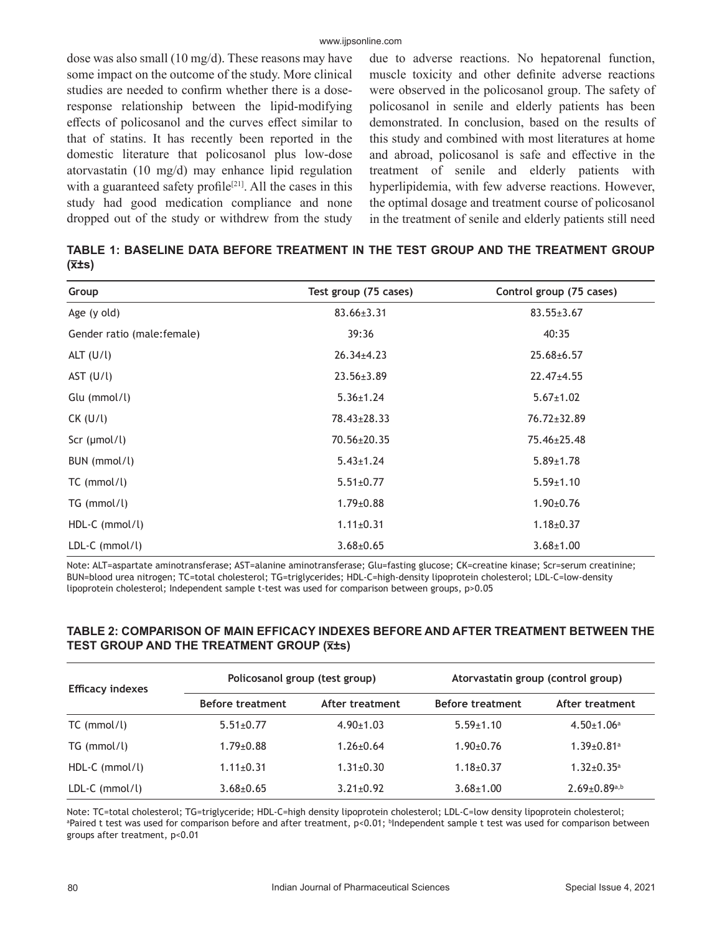dose was also small (10 mg/d). These reasons may have some impact on the outcome of the study. More clinical studies are needed to confirm whether there is a doseresponse relationship between the lipid-modifying effects of policosanol and the curves effect similar to that of statins. It has recently been reported in the domestic literature that policosanol plus low-dose atorvastatin (10 mg/d) may enhance lipid regulation with a guaranteed safety profile<sup>[21]</sup>. All the cases in this study had good medication compliance and none dropped out of the study or withdrew from the study due to adverse reactions. No hepatorenal function, muscle toxicity and other definite adverse reactions were observed in the policosanol group. The safety of policosanol in senile and elderly patients has been demonstrated. In conclusion, based on the results of this study and combined with most literatures at home and abroad, policosanol is safe and effective in the treatment of senile and elderly patients with hyperlipidemia, with few adverse reactions. However, the optimal dosage and treatment course of policosanol in the treatment of senile and elderly patients still need

**TABLE 1: BASELINE DATA BEFORE TREATMENT IN THE TEST GROUP AND THE TREATMENT GROUP (x̅±s)**

| Group                      | Test group (75 cases) | Control group (75 cases) |
|----------------------------|-----------------------|--------------------------|
| Age (y old)                | $83.66 \pm 3.31$      | $83.55 \pm 3.67$         |
| Gender ratio (male:female) | 39:36                 | 40:35                    |
| ALT $(U/l)$                | $26.34 \pm 4.23$      | $25.68 \pm 6.57$         |
| AST $(U/l)$                | $23.56 \pm 3.89$      | $22.47 \pm 4.55$         |
| Glu (mmol/l)               | $5.36 \pm 1.24$       | $5.67 \pm 1.02$          |
| $CK$ (U/l)                 | 78.43±28.33           | 76.72±32.89              |
| Scr $(\mu \text{mol/l})$   | 70.56±20.35           | 75.46±25.48              |
| BUN (mmol/l)               | $5.43 \pm 1.24$       | $5.89 \pm 1.78$          |
| $TC$ (mmol/l)              | $5.51 \pm 0.77$       | $5.59 \pm 1.10$          |
| TG (mmol/l)                | $1.79 \pm 0.88$       | $1.90 \pm 0.76$          |
| $HDL-C$ (mmol/l)           | $1.11 \pm 0.31$       | $1.18 \pm 0.37$          |
| $LDL-C$ (mmol/l)           | $3.68 \pm 0.65$       | $3.68 \pm 1.00$          |

Note: ALT=aspartate aminotransferase; AST=alanine aminotransferase; Glu=fasting glucose; CK=creatine kinase; Scr=serum creatinine; BUN=blood urea nitrogen; TC=total cholesterol; TG=triglycerides; HDL-C=high-density lipoprotein cholesterol; LDL-C=low-density lipoprotein cholesterol; Independent sample t-test was used for comparison between groups, p>0.05

### **TABLE 2: COMPARISON OF MAIN EFFICACY INDEXES BEFORE AND AFTER TREATMENT BETWEEN THE TEST GROUP AND THE TREATMENT GROUP (x̅±s)**

| <b>Efficacy indexes</b> | Policosanol group (test group) |                 | Atorvastatin group (control group) |                              |
|-------------------------|--------------------------------|-----------------|------------------------------------|------------------------------|
|                         | <b>Before treatment</b>        | After treatment | Before treatment                   | After treatment              |
| $TC$ (mmol/l)           | $5.51 \pm 0.77$                | $4.90 \pm 1.03$ | $5.59 \pm 1.10$                    | $4.50 \pm 1.06$ <sup>a</sup> |
| $TG \, (mmol/l)$        | $1.79 \pm 0.88$                | $1.26 \pm 0.64$ | $1.90+0.76$                        | $1.39 \pm 0.81$ <sup>a</sup> |
| $HDL-C$ (mmol/l)        | $1.11 \pm 0.31$                | $1.31 \pm 0.30$ | $1.18 + 0.37$                      | $1.32 \pm 0.35$ <sup>a</sup> |
| $LDL-C$ (mmol/l)        | $3.68 \pm 0.65$                | $3.21 \pm 0.92$ | $3.68 \pm 1.00$                    | $2.69 \pm 0.89^{a,b}$        |

Note: TC=total cholesterol; TG=triglyceride; HDL-C=high density lipoprotein cholesterol; LDL-C=low density lipoprotein cholesterol; ªPaired t test was used for comparison before and after treatment, p<0.01; <sup>b</sup>Independent sample t test was used for comparison between groups after treatment, p<0.01